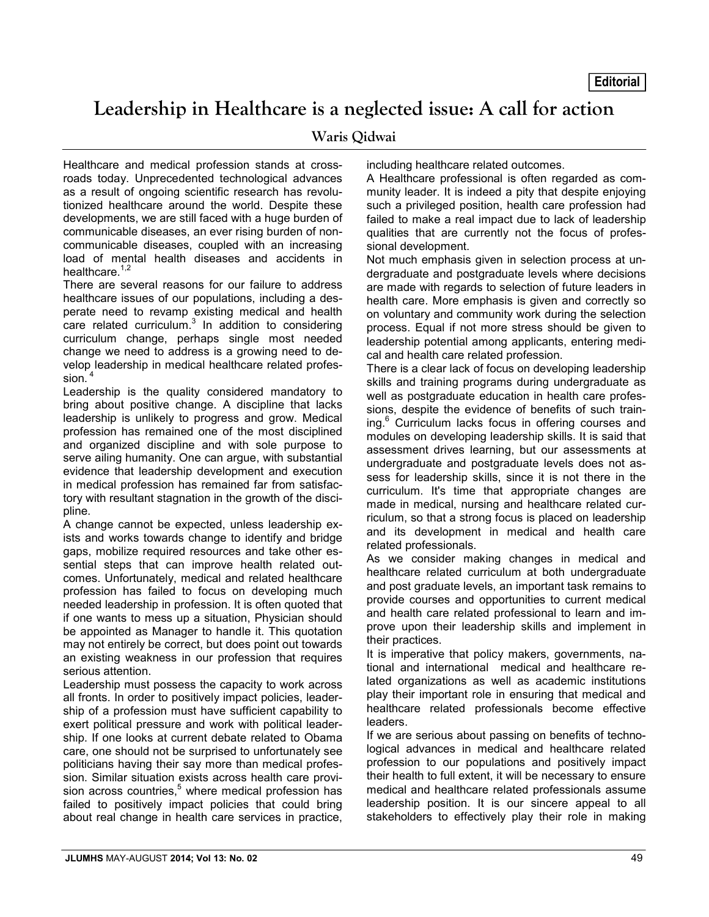**Editorial**

## **Leadership in Healthcare is a neglected issue: A call for action**

## **Waris Qidwai**

Healthcare and medical profession stands at crossroads today. Unprecedented technological advances as a result of ongoing scientific research has revolutionized healthcare around the world. Despite these developments, we are still faced with a huge burden of communicable diseases, an ever rising burden of noncommunicable diseases, coupled with an increasing load of mental health diseases and accidents in healthcare.<sup>1,2</sup>

There are several reasons for our failure to address healthcare issues of our populations, including a desperate need to revamp existing medical and health care related curriculum. $3$  In addition to considering curriculum change, perhaps single most needed change we need to address is a growing need to develop leadership in medical healthcare related profession.<sup>4</sup>

Leadership is the quality considered mandatory to bring about positive change. A discipline that lacks leadership is unlikely to progress and grow. Medical profession has remained one of the most disciplined and organized discipline and with sole purpose to serve ailing humanity. One can argue, with substantial evidence that leadership development and execution in medical profession has remained far from satisfactory with resultant stagnation in the growth of the discipline.

A change cannot be expected, unless leadership exists and works towards change to identify and bridge gaps, mobilize required resources and take other essential steps that can improve health related outcomes. Unfortunately, medical and related healthcare profession has failed to focus on developing much needed leadership in profession. It is often quoted that if one wants to mess up a situation, Physician should be appointed as Manager to handle it. This quotation may not entirely be correct, but does point out towards an existing weakness in our profession that requires serious attention.

Leadership must possess the capacity to work across all fronts. In order to positively impact policies, leadership of a profession must have sufficient capability to exert political pressure and work with political leadership. If one looks at current debate related to Obama care, one should not be surprised to unfortunately see politicians having their say more than medical profession. Similar situation exists across health care provision across countries,<sup>5</sup> where medical profession has failed to positively impact policies that could bring about real change in health care services in practice, including healthcare related outcomes.

A Healthcare professional is often regarded as community leader. It is indeed a pity that despite enjoying such a privileged position, health care profession had failed to make a real impact due to lack of leadership qualities that are currently not the focus of professional development.

Not much emphasis given in selection process at undergraduate and postgraduate levels where decisions are made with regards to selection of future leaders in health care. More emphasis is given and correctly so on voluntary and community work during the selection process. Equal if not more stress should be given to leadership potential among applicants, entering medical and health care related profession.

There is a clear lack of focus on developing leadership skills and training programs during undergraduate as well as postgraduate education in health care professions, despite the evidence of benefits of such training.<sup>6</sup> Curriculum lacks focus in offering courses and modules on developing leadership skills. It is said that assessment drives learning, but our assessments at undergraduate and postgraduate levels does not assess for leadership skills, since it is not there in the curriculum. It's time that appropriate changes are made in medical, nursing and healthcare related curriculum, so that a strong focus is placed on leadership and its development in medical and health care related professionals.

As we consider making changes in medical and healthcare related curriculum at both undergraduate and post graduate levels, an important task remains to provide courses and opportunities to current medical and health care related professional to learn and improve upon their leadership skills and implement in their practices.

It is imperative that policy makers, governments, national and international medical and healthcare related organizations as well as academic institutions play their important role in ensuring that medical and healthcare related professionals become effective leaders.

If we are serious about passing on benefits of technological advances in medical and healthcare related profession to our populations and positively impact their health to full extent, it will be necessary to ensure medical and healthcare related professionals assume leadership position. It is our sincere appeal to all stakeholders to effectively play their role in making